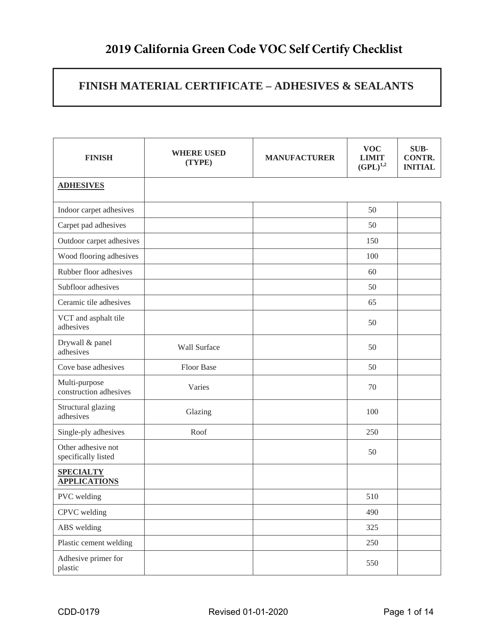## **2019 California Green Code VOC Self Certify Checklist**

### **FINISH MATERIAL CERTIFICATE – ADHESIVES & SEALANTS**

| <b>FINISH</b>                             | <b>WHERE USED</b><br>(TYPE) | <b>MANUFACTURER</b> | <b>VOC</b><br><b>LIMIT</b><br>$(GPL)^{1,2}$ | SUB-<br><b>CONTR.</b><br><b>INITIAL</b> |
|-------------------------------------------|-----------------------------|---------------------|---------------------------------------------|-----------------------------------------|
| <b>ADHESIVES</b>                          |                             |                     |                                             |                                         |
| Indoor carpet adhesives                   |                             |                     | 50                                          |                                         |
| Carpet pad adhesives                      |                             |                     | 50                                          |                                         |
| Outdoor carpet adhesives                  |                             |                     | 150                                         |                                         |
| Wood flooring adhesives                   |                             |                     | 100                                         |                                         |
| Rubber floor adhesives                    |                             |                     | 60                                          |                                         |
| Subfloor adhesives                        |                             |                     | 50                                          |                                         |
| Ceramic tile adhesives                    |                             |                     | 65                                          |                                         |
| VCT and asphalt tile<br>adhesives         |                             |                     | 50                                          |                                         |
| Drywall & panel<br>adhesives              | Wall Surface                |                     | 50                                          |                                         |
| Cove base adhesives                       | Floor Base                  |                     | 50                                          |                                         |
| Multi-purpose<br>construction adhesives   | Varies                      |                     | 70                                          |                                         |
| Structural glazing<br>adhesives           | Glazing                     |                     | 100                                         |                                         |
| Single-ply adhesives                      | Roof                        |                     | 250                                         |                                         |
| Other adhesive not<br>specifically listed |                             |                     | 50                                          |                                         |
| <b>SPECIALTY</b><br><b>APPLICATIONS</b>   |                             |                     |                                             |                                         |
| PVC welding                               |                             |                     | 510                                         |                                         |
| CPVC welding                              |                             |                     | 490                                         |                                         |
| ABS welding                               |                             |                     | 325                                         |                                         |
| Plastic cement welding                    |                             |                     | 250                                         |                                         |
| Adhesive primer for<br>plastic            |                             |                     | 550                                         |                                         |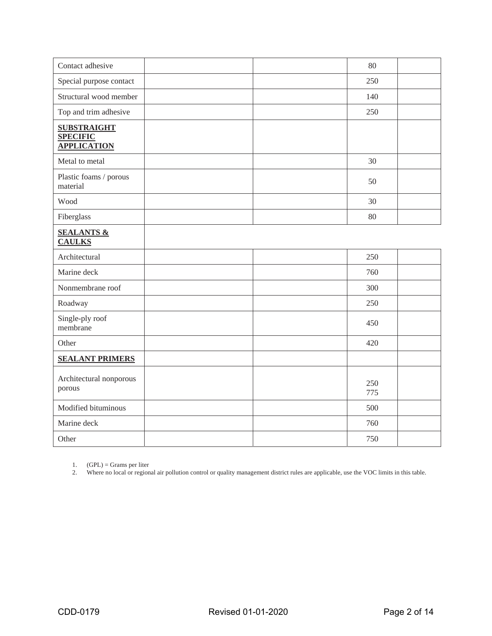| Contact adhesive                                            | 80         |
|-------------------------------------------------------------|------------|
| Special purpose contact                                     | 250        |
| Structural wood member                                      | 140        |
| Top and trim adhesive                                       | 250        |
| <b>SUBSTRAIGHT</b><br><b>SPECIFIC</b><br><b>APPLICATION</b> |            |
| Metal to metal                                              | 30         |
| Plastic foams / porous<br>material                          | 50         |
| Wood                                                        | 30         |
| Fiberglass                                                  | 80         |
| <b>SEALANTS &amp;</b><br><b>CAULKS</b>                      |            |
| Architectural                                               | 250        |
| Marine deck                                                 | 760        |
| Nonmembrane roof                                            | 300        |
| Roadway                                                     | 250        |
| Single-ply roof<br>membrane                                 | 450        |
| Other                                                       | 420        |
| <b>SEALANT PRIMERS</b>                                      |            |
| Architectural nonporous<br>porous                           | 250<br>775 |
| Modified bituminous                                         | 500        |
| Marine deck                                                 | 760        |
| Other                                                       | 750        |

1.  $(GPL) = \text{Grams per liter}$ 

2. Where no local or regional air pollution control or quality management district rules are applicable, use the VOC limits in this table.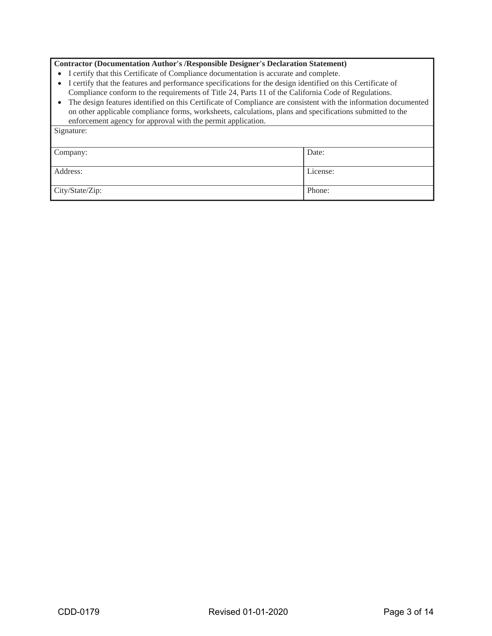#### **Contractor (Documentation Author's /Responsible Designer's Declaration Statement)**

- I certify that this Certificate of Compliance documentation is accurate and complete.
- x I certify that the features and performance specifications for the design identified on this Certificate of Compliance conform to the requirements of Title 24, Parts 11 of the California Code of Regulations.
- The design features identified on this Certificate of Compliance are consistent with the information documented on other applicable compliance forms, worksheets, calculations, plans and specifications submitted to the enforcement agency for approval with the permit application.

| Signature:      |          |
|-----------------|----------|
| Company:        | Date:    |
| Address:        | License: |
| City/State/Zip: | Phone:   |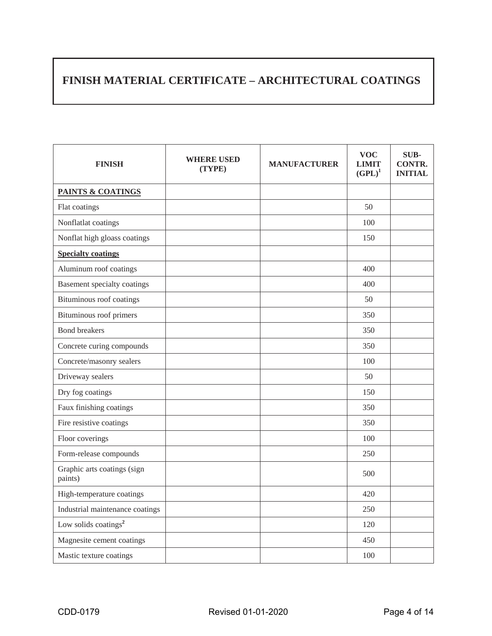### **FINISH MATERIAL CERTIFICATE – ARCHITECTURAL COATINGS**

| <b>FINISH</b>                          | <b>WHERE USED</b><br>(TYPE) | <b>MANUFACTURER</b> | <b>VOC</b><br><b>LIMIT</b><br>$(GPL)^1$ | <b>SUB-</b><br><b>CONTR.</b><br><b>INITIAL</b> |
|----------------------------------------|-----------------------------|---------------------|-----------------------------------------|------------------------------------------------|
| <b>PAINTS &amp; COATINGS</b>           |                             |                     |                                         |                                                |
| Flat coatings                          |                             |                     | 50                                      |                                                |
| Nonflatlat coatings                    |                             |                     | 100                                     |                                                |
| Nonflat high gloass coatings           |                             |                     | 150                                     |                                                |
| <b>Specialty coatings</b>              |                             |                     |                                         |                                                |
| Aluminum roof coatings                 |                             |                     | 400                                     |                                                |
| Basement specialty coatings            |                             |                     | 400                                     |                                                |
| Bituminous roof coatings               |                             |                     | 50                                      |                                                |
| Bituminous roof primers                |                             |                     | 350                                     |                                                |
| <b>Bond breakers</b>                   |                             |                     | 350                                     |                                                |
| Concrete curing compounds              |                             |                     | 350                                     |                                                |
| Concrete/masonry sealers               |                             |                     | 100                                     |                                                |
| Driveway sealers                       |                             |                     | 50                                      |                                                |
| Dry fog coatings                       |                             |                     | 150                                     |                                                |
| Faux finishing coatings                |                             |                     | 350                                     |                                                |
| Fire resistive coatings                |                             |                     | 350                                     |                                                |
| Floor coverings                        |                             |                     | 100                                     |                                                |
| Form-release compounds                 |                             |                     | 250                                     |                                                |
| Graphic arts coatings (sign<br>paints) |                             |                     | 500                                     |                                                |
| High-temperature coatings              |                             |                     | 420                                     |                                                |
| Industrial maintenance coatings        |                             |                     | 250                                     |                                                |
| Low solids coatings <sup>2</sup>       |                             |                     | 120                                     |                                                |
| Magnesite cement coatings              |                             |                     | 450                                     |                                                |
| Mastic texture coatings                |                             |                     | 100                                     |                                                |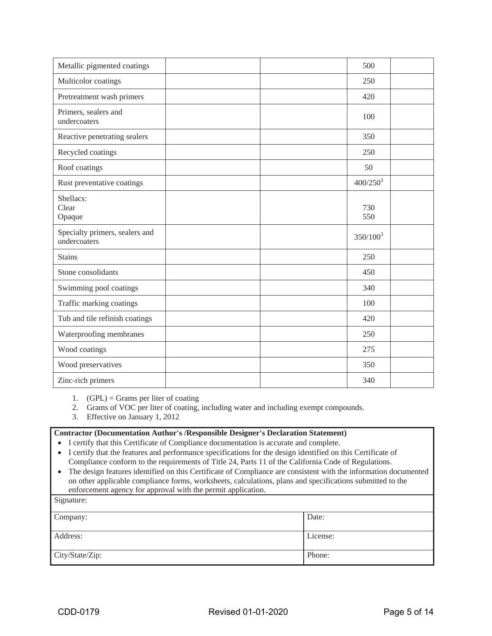| Metallic pigmented coatings                    |  | 500           |  |
|------------------------------------------------|--|---------------|--|
| Multicolor coatings                            |  | 250           |  |
| Pretreatment wash primers                      |  | 420           |  |
| Primers, sealers and<br>undercoaters           |  | 100           |  |
| Reactive penetrating sealers                   |  | 350           |  |
| Recycled coatings                              |  | 250           |  |
| Roof coatings                                  |  | 50            |  |
| Rust preventative coatings                     |  | $400/250^{3}$ |  |
| Shellacs:<br>Clear<br>Opaque                   |  | 730<br>550    |  |
| Specialty primers, sealers and<br>undercoaters |  | $350/100^3$   |  |
| <b>Stains</b>                                  |  | 250           |  |
| Stone consolidants                             |  | 450           |  |
| Swimming pool coatings                         |  | 340           |  |
| Traffic marking coatings                       |  | 100           |  |
| Tub and tile refinish coatings                 |  | 420           |  |
| Waterproofing membranes                        |  | 250           |  |
| Wood coatings                                  |  | 275           |  |
| Wood preservatives                             |  | 350           |  |
| Zinc-rich primers                              |  | 340           |  |

1.  $(GPL) = \text{Grams per liter of coating}$ 

2. Grams of VOC per liter of coating, including water and including exempt compounds.

3. Effective on January 1, 2012

#### **Contractor (Documentation Author's /Responsible Designer's Declaration Statement)**

- I certify that this Certificate of Compliance documentation is accurate and complete.
- x I certify that the features and performance specifications for the design identified on this Certificate of Compliance conform to the requirements of Title 24, Parts 11 of the California Code of Regulations.
- The design features identified on this Certificate of Compliance are consistent with the information documented on other applicable compliance forms, worksheets, calculations, plans and specifications submitted to the enforcement agency for approval with the permit application.

| Signature:      |          |
|-----------------|----------|
| Company:        | Date:    |
| Address:        | License: |
| City/State/Zip: | Phone:   |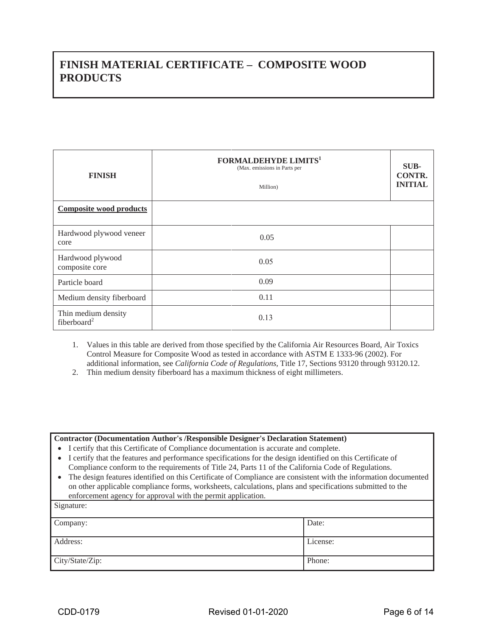### **FINISH MATERIAL CERTIFICATE – COMPOSITE WOOD PRODUCTS**

| <b>FINISH</b>                                  | <b>FORMALDEHYDE LIMITS1</b><br>(Max. emissions in Parts per<br>Million) | SUB-<br><b>CONTR.</b><br><b>INITIAL</b> |
|------------------------------------------------|-------------------------------------------------------------------------|-----------------------------------------|
| <b>Composite wood products</b>                 |                                                                         |                                         |
| Hardwood plywood veneer<br>core                | 0.05                                                                    |                                         |
| Hardwood plywood<br>composite core             | 0.05                                                                    |                                         |
| Particle board                                 | 0.09                                                                    |                                         |
| Medium density fiberboard                      | 0.11                                                                    |                                         |
| Thin medium density<br>fiberboard <sup>2</sup> | 0.13                                                                    |                                         |

1. Values in this table are derived from those specified by the California Air Resources Board, Air Toxics Control Measure for Composite Wood as tested in accordance with ASTM E 1333-96 (2002). For additional information, see *California Code of Regulations,* Title 17, Sections 93120 through 93120.12.

2. Thin medium density fiberboard has a maximum thickness of eight millimeters.

#### **Contractor (Documentation Author's /Responsible Designer's Declaration Statement)**

• I certify that this Certificate of Compliance documentation is accurate and complete.

- I certify that the features and performance specifications for the design identified on this Certificate of Compliance conform to the requirements of Title 24, Parts 11 of the California Code of Regulations.
- The design features identified on this Certificate of Compliance are consistent with the information documented on other applicable compliance forms, worksheets, calculations, plans and specifications submitted to the enforcement agency for approval with the permit application.

| Signature:      |          |
|-----------------|----------|
| Company:        | Date:    |
| Address:        | License: |
| City/State/Zip: | Phone:   |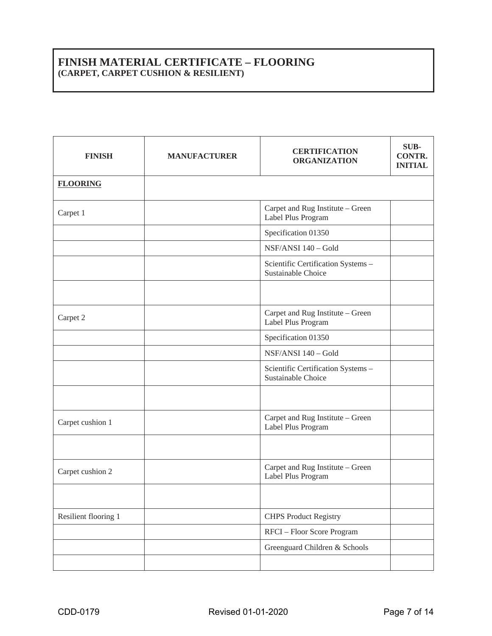### **FINISH MATERIAL CERTIFICATE – FLOORING (CARPET, CARPET CUSHION & RESILIENT)**

| <b>FINISH</b>        | <b>MANUFACTURER</b> | <b>CERTIFICATION</b><br><b>ORGANIZATION</b>              | SUB-<br><b>CONTR.</b><br><b>INITIAL</b> |
|----------------------|---------------------|----------------------------------------------------------|-----------------------------------------|
| <b>FLOORING</b>      |                     |                                                          |                                         |
| Carpet 1             |                     | Carpet and Rug Institute - Green<br>Label Plus Program   |                                         |
|                      |                     | Specification 01350                                      |                                         |
|                      |                     | NSF/ANSI 140 - Gold                                      |                                         |
|                      |                     | Scientific Certification Systems -<br>Sustainable Choice |                                         |
|                      |                     |                                                          |                                         |
| Carpet 2             |                     | Carpet and Rug Institute - Green<br>Label Plus Program   |                                         |
|                      |                     | Specification 01350                                      |                                         |
|                      |                     | NSF/ANSI 140 - Gold                                      |                                         |
|                      |                     | Scientific Certification Systems -<br>Sustainable Choice |                                         |
|                      |                     |                                                          |                                         |
| Carpet cushion 1     |                     | Carpet and Rug Institute - Green<br>Label Plus Program   |                                         |
|                      |                     |                                                          |                                         |
| Carpet cushion 2     |                     | Carpet and Rug Institute - Green<br>Label Plus Program   |                                         |
|                      |                     |                                                          |                                         |
| Resilient flooring 1 |                     | <b>CHPS Product Registry</b>                             |                                         |
|                      |                     | RFCI - Floor Score Program                               |                                         |
|                      |                     | Greenguard Children & Schools                            |                                         |
|                      |                     |                                                          |                                         |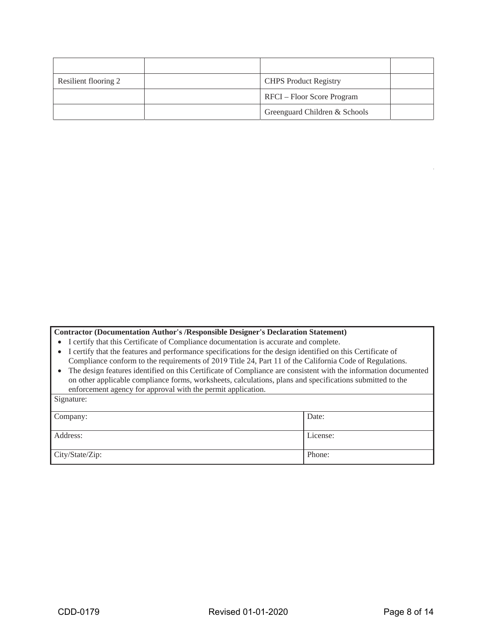| Resilient flooring 2 | <b>CHPS Product Registry</b>  |  |
|----------------------|-------------------------------|--|
|                      | RFCI – Floor Score Program    |  |
|                      | Greenguard Children & Schools |  |

#### **Contractor (Documentation Author's /Responsible Designer's Declaration Statement)**

- I certify that this Certificate of Compliance documentation is accurate and complete.
- I certify that the features and performance specifications for the design identified on this Certificate of Compliance conform to the requirements of 2019 Title 24, Part 11 of the California Code of Regulations.
- The design features identified on this Certificate of Compliance are consistent with the information documented on other applicable compliance forms, worksheets, calculations, plans and specifications submitted to the enforcement agency for approval with the permit application.

| Signature:      |          |
|-----------------|----------|
| Company:        | Date:    |
| Address:        | License: |
| City/State/Zip: | Phone:   |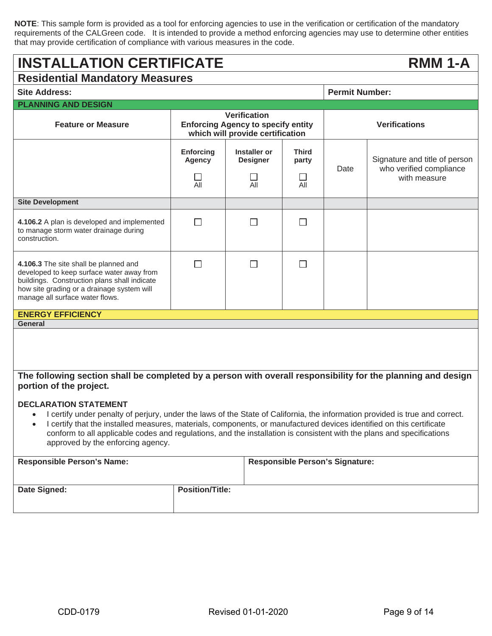**NOTE**: This sample form is provided as a tool for enforcing agencies to use in the verification or certification of the mandatory requirements of the CALGreen code. It is intended to provide a method enforcing agencies may use to determine other entities that may provide certification of compliance with various measures in the code.

# **INSTALLATION CERTIFICATE RMM 1-A**

| <b>Residential Mandatory Measures</b>                                                                                                                                                                                                                                                                                                                                                                                                                           |                                                                                                      |                                               |                                              |                                        |                                                                          |
|-----------------------------------------------------------------------------------------------------------------------------------------------------------------------------------------------------------------------------------------------------------------------------------------------------------------------------------------------------------------------------------------------------------------------------------------------------------------|------------------------------------------------------------------------------------------------------|-----------------------------------------------|----------------------------------------------|----------------------------------------|--------------------------------------------------------------------------|
| <b>Site Address:</b>                                                                                                                                                                                                                                                                                                                                                                                                                                            |                                                                                                      |                                               |                                              | <b>Permit Number:</b>                  |                                                                          |
| <b>PLANNING AND DESIGN</b>                                                                                                                                                                                                                                                                                                                                                                                                                                      |                                                                                                      |                                               |                                              |                                        |                                                                          |
| <b>Feature or Measure</b>                                                                                                                                                                                                                                                                                                                                                                                                                                       | <b>Verification</b><br><b>Enforcing Agency to specify entity</b><br>which will provide certification |                                               | <b>Verifications</b>                         |                                        |                                                                          |
|                                                                                                                                                                                                                                                                                                                                                                                                                                                                 | <b>Enforcing</b><br><b>Agency</b><br>All                                                             | <b>Installer or</b><br><b>Designer</b><br>All | <b>Third</b><br>party<br>$\mathsf{L}$<br>All | Date                                   | Signature and title of person<br>who verified compliance<br>with measure |
| <b>Site Development</b>                                                                                                                                                                                                                                                                                                                                                                                                                                         |                                                                                                      |                                               |                                              |                                        |                                                                          |
| 4.106.2 A plan is developed and implemented<br>to manage storm water drainage during<br>construction.                                                                                                                                                                                                                                                                                                                                                           | $\Box$                                                                                               | $\mathsf{L}$                                  | П                                            |                                        |                                                                          |
| 4.106.3 The site shall be planned and<br>developed to keep surface water away from<br>buildings. Construction plans shall indicate<br>how site grading or a drainage system will<br>manage all surface water flows.                                                                                                                                                                                                                                             | П                                                                                                    | П                                             | $\Box$                                       |                                        |                                                                          |
| <b>ENERGY EFFICIENCY</b>                                                                                                                                                                                                                                                                                                                                                                                                                                        |                                                                                                      |                                               |                                              |                                        |                                                                          |
| <b>General</b>                                                                                                                                                                                                                                                                                                                                                                                                                                                  |                                                                                                      |                                               |                                              |                                        |                                                                          |
|                                                                                                                                                                                                                                                                                                                                                                                                                                                                 |                                                                                                      |                                               |                                              |                                        |                                                                          |
| The following section shall be completed by a person with overall responsibility for the planning and design<br>portion of the project.                                                                                                                                                                                                                                                                                                                         |                                                                                                      |                                               |                                              |                                        |                                                                          |
| <b>DECLARATION STATEMENT</b><br>I certify under penalty of perjury, under the laws of the State of California, the information provided is true and correct.<br>I certify that the installed measures, materials, components, or manufactured devices identified on this certificate<br>$\bullet$<br>conform to all applicable codes and regulations, and the installation is consistent with the plans and specifications<br>approved by the enforcing agency. |                                                                                                      |                                               |                                              |                                        |                                                                          |
| <b>Responsible Person's Name:</b>                                                                                                                                                                                                                                                                                                                                                                                                                               |                                                                                                      |                                               |                                              | <b>Responsible Person's Signature:</b> |                                                                          |
| Date Signed:                                                                                                                                                                                                                                                                                                                                                                                                                                                    | <b>Position/Title:</b>                                                                               |                                               |                                              |                                        |                                                                          |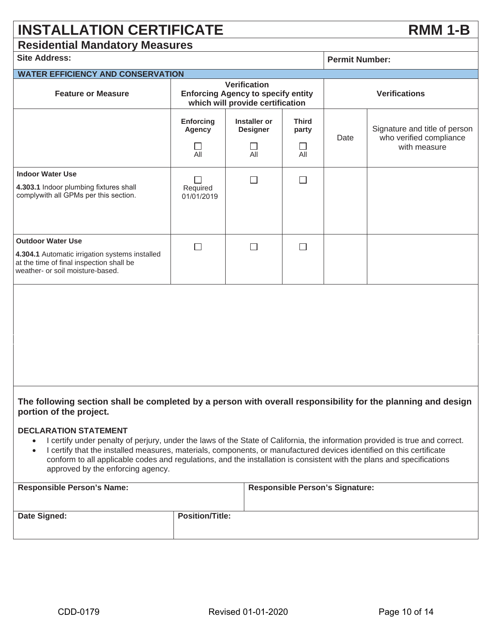# **INSTALLATION CERTIFICATE RMM 1-B**

### **Residential Mandatory Measures**

| <b>Site Address:</b>                                                                                                                                                                                                                                                                                                 |                                                                                                      |                                                          |                                         |      | <b>Permit Number:</b>                                                    |  |
|----------------------------------------------------------------------------------------------------------------------------------------------------------------------------------------------------------------------------------------------------------------------------------------------------------------------|------------------------------------------------------------------------------------------------------|----------------------------------------------------------|-----------------------------------------|------|--------------------------------------------------------------------------|--|
| <b>WATER EFFICIENCY AND CONSERVATION</b>                                                                                                                                                                                                                                                                             |                                                                                                      |                                                          |                                         |      |                                                                          |  |
| <b>Feature or Measure</b>                                                                                                                                                                                                                                                                                            | <b>Verification</b><br><b>Enforcing Agency to specify entity</b><br>which will provide certification |                                                          |                                         |      | <b>Verifications</b>                                                     |  |
|                                                                                                                                                                                                                                                                                                                      | <b>Enforcing</b><br>Agency<br>ΓI<br>All                                                              | <b>Installer or</b><br><b>Designer</b><br>$\perp$<br>All | <b>Third</b><br>party<br>$\perp$<br>All | Date | Signature and title of person<br>who verified compliance<br>with measure |  |
| <b>Indoor Water Use</b><br>4.303.1 Indoor plumbing fixtures shall<br>complywith all GPMs per this section.                                                                                                                                                                                                           | Required<br>01/01/2019                                                                               | П                                                        | $\Box$                                  |      |                                                                          |  |
| <b>Outdoor Water Use</b><br>4.304.1 Automatic irrigation systems installed<br>at the time of final inspection shall be<br>weather- or soil moisture-based.                                                                                                                                                           | П                                                                                                    | П                                                        | П                                       |      |                                                                          |  |
|                                                                                                                                                                                                                                                                                                                      |                                                                                                      |                                                          |                                         |      |                                                                          |  |
| The following section shall be completed by a person with overall responsibility for the planning and design<br>portion of the project.<br><b>DECLARATION STATEMENT</b><br>I certify under penalty of perjury, under the laws of the State of California, the information provided is true and correct.<br>$\bullet$ |                                                                                                      |                                                          |                                         |      |                                                                          |  |

• I certify that the installed measures, materials, components, or manufactured devices identified on this certificate conform to all applicable codes and regulations, and the installation is consistent with the plans and specifications approved by the enforcing agency.

| <b>Responsible Person's Name:</b> |                        | <b>Responsible Person's Signature:</b> |
|-----------------------------------|------------------------|----------------------------------------|
| Date Signed:                      | <b>Position/Title:</b> |                                        |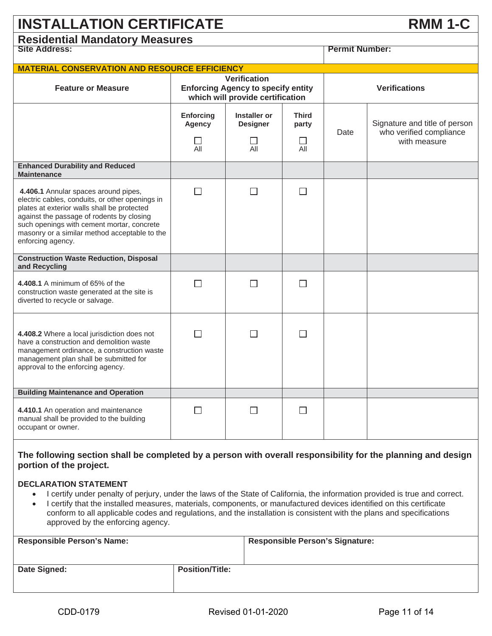| <b>INSTALLATION CERTIFICATE</b><br><b>RMM 1-C</b>    |                                                                  |                      |  |  |
|------------------------------------------------------|------------------------------------------------------------------|----------------------|--|--|
| <b>Residential Mandatory Measures</b>                |                                                                  |                      |  |  |
| <b>Site Address:</b>                                 | <b>Permit Number:</b>                                            |                      |  |  |
| <b>MATERIAL CONSERVATION AND RESOURCE EFFICIENCY</b> |                                                                  |                      |  |  |
| <b>Feature or Measure</b>                            | <b>Verification</b><br><b>Enforcing Agency to specify entity</b> | <b>Verifications</b> |  |  |

|                                                                                                                                                                                                                                                                                                         |                                          | which will provide certification                   |                                        |      |                                                                          |
|---------------------------------------------------------------------------------------------------------------------------------------------------------------------------------------------------------------------------------------------------------------------------------------------------------|------------------------------------------|----------------------------------------------------|----------------------------------------|------|--------------------------------------------------------------------------|
|                                                                                                                                                                                                                                                                                                         | <b>Enforcing</b><br><b>Agency</b><br>All | <b>Installer or</b><br><b>Designer</b><br>П<br>All | <b>Third</b><br>party<br>$\Box$<br>All | Date | Signature and title of person<br>who verified compliance<br>with measure |
| <b>Enhanced Durability and Reduced</b><br><b>Maintenance</b>                                                                                                                                                                                                                                            |                                          |                                                    |                                        |      |                                                                          |
| 4.406.1 Annular spaces around pipes,<br>electric cables, conduits, or other openings in<br>plates at exterior walls shall be protected<br>against the passage of rodents by closing<br>such openings with cement mortar, concrete<br>masonry or a similar method acceptable to the<br>enforcing agency. | П                                        | П                                                  | П                                      |      |                                                                          |
| <b>Construction Waste Reduction, Disposal</b><br>and Recycling                                                                                                                                                                                                                                          |                                          |                                                    |                                        |      |                                                                          |
| 4.408.1 A minimum of 65% of the<br>construction waste generated at the site is<br>diverted to recycle or salvage.                                                                                                                                                                                       | П                                        | П                                                  | П                                      |      |                                                                          |
| 4.408.2 Where a local jurisdiction does not<br>have a construction and demolition waste<br>management ordinance, a construction waste<br>management plan shall be submitted for<br>approval to the enforcing agency.                                                                                    | П                                        | П                                                  | $\Box$                                 |      |                                                                          |
| <b>Building Maintenance and Operation</b>                                                                                                                                                                                                                                                               |                                          |                                                    |                                        |      |                                                                          |
| 4.410.1 An operation and maintenance<br>manual shall be provided to the building<br>occupant or owner.                                                                                                                                                                                                  | M.                                       | П                                                  | □                                      |      |                                                                          |

### **The following section shall be completed by a person with overall responsibility for the planning and design portion of the project.**

#### **DECLARATION STATEMENT**

- x I certify under penalty of perjury, under the laws of the State of California, the information provided is true and correct.
- I certify that the installed measures, materials, components, or manufactured devices identified on this certificate conform to all applicable codes and regulations, and the installation is consistent with the plans and specifications approved by the enforcing agency.

| <b>Responsible Person's Name:</b> |                        | <b>Responsible Person's Signature:</b> |
|-----------------------------------|------------------------|----------------------------------------|
| Date Signed:                      | <b>Position/Title:</b> |                                        |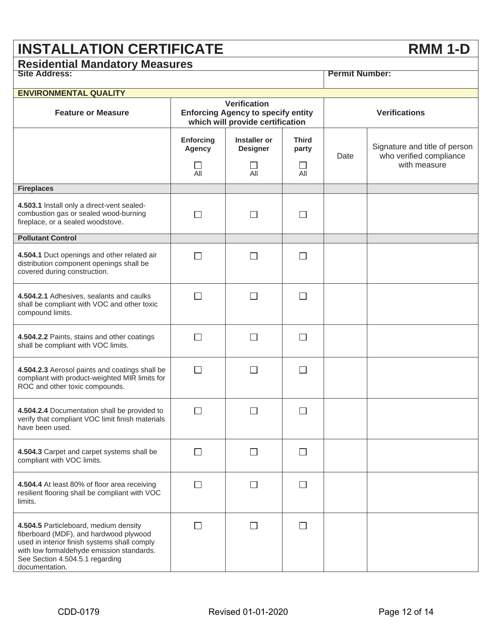# **INSTALLATION CERTIFICATE RMM 1-D**

## **Residential Mandatory Measures**

|  | <b>Site Address:</b> |
|--|----------------------|

| <b>ENVIRONMENTAL QUALITY</b>                                                                                                                                                                                                      |                                          |                                                                                                      |                              |                      |                                                                          |
|-----------------------------------------------------------------------------------------------------------------------------------------------------------------------------------------------------------------------------------|------------------------------------------|------------------------------------------------------------------------------------------------------|------------------------------|----------------------|--------------------------------------------------------------------------|
| <b>Feature or Measure</b>                                                                                                                                                                                                         |                                          | <b>Verification</b><br><b>Enforcing Agency to specify entity</b><br>which will provide certification |                              | <b>Verifications</b> |                                                                          |
|                                                                                                                                                                                                                                   | <b>Enforcing</b><br><b>Agency</b><br>All | <b>Installer or</b><br><b>Designer</b><br>All                                                        | <b>Third</b><br>party<br>All | Date                 | Signature and title of person<br>who verified compliance<br>with measure |
| <b>Fireplaces</b>                                                                                                                                                                                                                 |                                          |                                                                                                      |                              |                      |                                                                          |
| 4.503.1 Install only a direct-vent sealed-<br>combustion gas or sealed wood-burning<br>fireplace, or a sealed woodstove.                                                                                                          | <b>College</b>                           | $\mathcal{L}$                                                                                        |                              |                      |                                                                          |
| <b>Pollutant Control</b>                                                                                                                                                                                                          |                                          |                                                                                                      |                              |                      |                                                                          |
| 4.504.1 Duct openings and other related air<br>distribution component openings shall be<br>covered during construction.                                                                                                           | П                                        | $\mathsf{L}$                                                                                         | $\mathsf{L}$                 |                      |                                                                          |
| 4.504.2.1 Adhesives, sealants and caulks<br>shall be compliant with VOC and other toxic<br>compound limits.                                                                                                                       | $\Box$                                   | $\mathbf{I}$                                                                                         |                              |                      |                                                                          |
| 4.504.2.2 Paints, stains and other coatings<br>shall be compliant with VOC limits.                                                                                                                                                | $\vert \ \ \vert$                        | $\mathsf{L}$                                                                                         | $\Box$                       |                      |                                                                          |
| 4.504.2.3 Aerosol paints and coatings shall be<br>compliant with product-weighted MIR limits for<br>ROC and other toxic compounds.                                                                                                | $\Box$                                   | П                                                                                                    | $\overline{a}$               |                      |                                                                          |
| 4.504.2.4 Documentation shall be provided to<br>verify that compliant VOC limit finish materials<br>have been used.                                                                                                               | П                                        | П                                                                                                    | $\Box$                       |                      |                                                                          |
| 4.504.3 Carpet and carpet systems shall be<br>compliant with VOC limits.                                                                                                                                                          |                                          | $\overline{\phantom{a}}$                                                                             |                              |                      |                                                                          |
| 4.504.4 At least 80% of floor area receiving<br>resilient flooring shall be compliant with VOC<br>limits.                                                                                                                         | $\mathsf{L}$                             | $\Box$                                                                                               | $\Box$                       |                      |                                                                          |
| 4.504.5 Particleboard, medium density<br>fiberboard (MDF), and hardwood plywood<br>used in interior finish systems shall comply<br>with low formaldehyde emission standards.<br>See Section 4.504.5.1 regarding<br>documentation. | П                                        | $\mathsf{L}$                                                                                         | $\mathsf{L}$                 |                      |                                                                          |

**Permit Number:**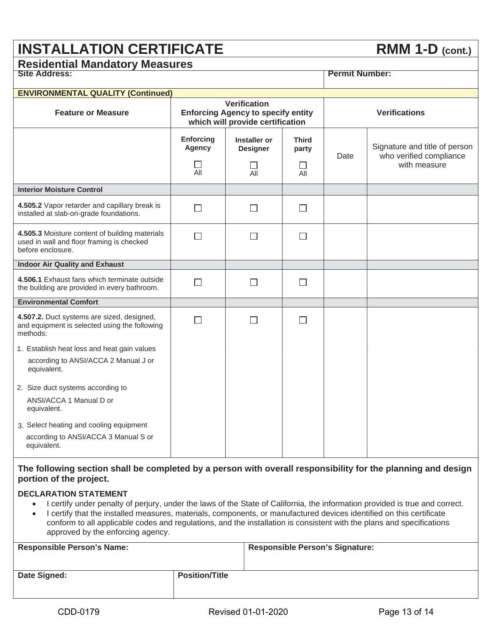# **INSTALLATION CERTIFICATE** RMM 1-D (cont.)

# **Residential Mandatory Measures**

| <b>ENVIRONMENTAL QUALITY (Continued)</b>                                                                         |                                                                                                      |                                 |                       |      |                                                                          |
|------------------------------------------------------------------------------------------------------------------|------------------------------------------------------------------------------------------------------|---------------------------------|-----------------------|------|--------------------------------------------------------------------------|
| <b>Feature or Measure</b>                                                                                        | <b>Verification</b><br><b>Enforcing Agency to specify entity</b><br>which will provide certification |                                 |                       |      | <b>Verifications</b>                                                     |
|                                                                                                                  | <b>Enforcing</b><br><b>Agency</b>                                                                    | Installer or<br><b>Designer</b> | <b>Third</b><br>party | Date | Signature and title of person<br>who verified compliance<br>with measure |
|                                                                                                                  | All                                                                                                  | $\mathsf{L}$<br>All             | ΙI<br>All             |      |                                                                          |
| <b>Interior Moisture Control</b>                                                                                 |                                                                                                      |                                 |                       |      |                                                                          |
| 4.505.2 Vapor retarder and capillary break is<br>installed at slab-on-grade foundations.                         | $\blacksquare$                                                                                       | $\Box$                          | $\blacksquare$        |      |                                                                          |
| 4.505.3 Moisture content of building materials<br>used in wall and floor framing is checked<br>before enclosure. | П                                                                                                    | П                               | □                     |      |                                                                          |
| <b>Indoor Air Quality and Exhaust</b>                                                                            |                                                                                                      |                                 |                       |      |                                                                          |
| 4.506.1 Exhaust fans which terminate outside<br>the building are provided in every bathroom.                     | $\Box$                                                                                               | $\Box$                          | $\Box$                |      |                                                                          |
| <b>Environmental Comfort</b>                                                                                     |                                                                                                      |                                 |                       |      |                                                                          |
| 4.507.2. Duct systems are sized, designed,<br>and equipment is selected using the following<br>methods:          | П                                                                                                    | П                               | □                     |      |                                                                          |
| 1. Establish heat loss and heat gain values                                                                      |                                                                                                      |                                 |                       |      |                                                                          |
| according to ANSI/ACCA 2 Manual J or<br>equivalent.                                                              |                                                                                                      |                                 |                       |      |                                                                          |
| 2. Size duct systems according to                                                                                |                                                                                                      |                                 |                       |      |                                                                          |
| ANSI/ACCA 1 Manual D or<br>equivalent.                                                                           |                                                                                                      |                                 |                       |      |                                                                          |
| 3. Select heating and cooling equipment<br>according to ANSI/ACCA 3 Manual S or<br>equivalent.                   |                                                                                                      |                                 |                       |      |                                                                          |

#### **The following section shall be completed by a person with overall responsibility for the planning and design portion of the project.**

#### **DECLARATION STATEMENT**

- x I certify under penalty of perjury, under the laws of the State of California, the information provided is true and correct.
- I certify that the installed measures, materials, components, or manufactured devices identified on this certificate conform to all applicable codes and regulations, and the installation is consistent with the plans and specifications approved by the enforcing agency.

| <b>Responsible Person's Name:</b> |                       | <b>Responsible Person's Signature:</b> |
|-----------------------------------|-----------------------|----------------------------------------|
| Date Signed:                      | <b>Position/Title</b> |                                        |

**Site Address: Permit Number:**